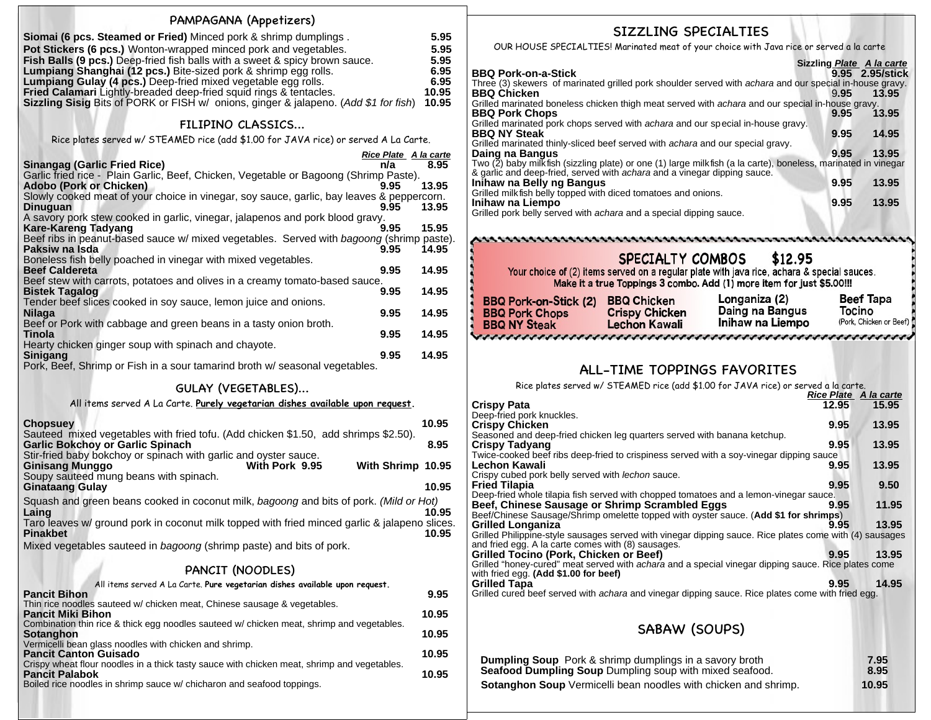| PAMPAGANA (Appetizers)<br>Siomai (6 pcs. Steamed or Fried) Minced pork & shrimp dumplings.<br>Pot Stickers (6 pcs.) Wonton-wrapped minced pork and vegetables.<br>Fish Balls (9 pcs.) Deep-fried fish balls with a sweet & spicy brown sauce.<br>Lumpiang Shanghai (12 pcs.) Bite-sized pork & shrimp egg rolls.<br>Lumpiang Gulay (4 pcs.) Deep-fried mixed vegetable egg rolls.<br><b>Fried Calamari</b> Lightly-breaded deep-fried squid rings & tentacles.<br><b>Sizzling Sisig Bits of PORK or FISH w/ onions, ginger &amp; jalapeno. (Add \$1 for fish)</b> |                                                             | 5.95<br>5.95<br>5.95<br>6.95<br>6.95<br>10.95<br>10.95 |
|-------------------------------------------------------------------------------------------------------------------------------------------------------------------------------------------------------------------------------------------------------------------------------------------------------------------------------------------------------------------------------------------------------------------------------------------------------------------------------------------------------------------------------------------------------------------|-------------------------------------------------------------|--------------------------------------------------------|
| FILIPINO CLASSICS                                                                                                                                                                                                                                                                                                                                                                                                                                                                                                                                                 |                                                             |                                                        |
| Rice plates served w/ STEAMED rice (add \$1.00 for JAVA rice) or served A La Carte.                                                                                                                                                                                                                                                                                                                                                                                                                                                                               |                                                             |                                                        |
| Sinangag (Garlic Fried Rice)<br>Garlic fried rice - Plain Garlic, Beef, Chicken, Vegetable or Bagoong (Shrimp Paste).<br>Adobo (Pork or Chicken)<br>Slowly cooked meat of your choice in vinegar, soy sauce, garlic, bay leaves & peppercorn.<br><b>Dinuguan</b><br>A savory pork stew cooked in garlic, vinegar, jalapenos and pork blood gravy.<br><b>Kare-Kareng Tadyang</b><br>Beef ribs in peanut-based sauce w/ mixed vegetables. Served with bagoong (shrimp paste).                                                                                       | <b>Rice Plate A la carte</b><br>n/a<br>9.95<br>9.95<br>9.95 | 8.95<br>13.95<br>13.95<br>15.95                        |
| Paksiw na Isda<br>Boneless fish belly poached in vinegar with mixed vegetables.<br><b>Beef Caldereta</b><br>Beef stew with carrots, potatoes and olives in a creamy tomato-based sauce.                                                                                                                                                                                                                                                                                                                                                                           | 9.95<br>9.95                                                | 14.95<br>14.95                                         |
| <b>Bistek Tagalog</b>                                                                                                                                                                                                                                                                                                                                                                                                                                                                                                                                             | 9.95                                                        | 14.95                                                  |
| Tender beef slices cooked in soy sauce, lemon juice and onions.<br>Nilaga                                                                                                                                                                                                                                                                                                                                                                                                                                                                                         | 9.95                                                        | 14.95                                                  |
| Beef or Pork with cabbage and green beans in a tasty onion broth.<br>Tinola                                                                                                                                                                                                                                                                                                                                                                                                                                                                                       | 9.95                                                        | 14.95                                                  |
| Hearty chicken ginger soup with spinach and chayote.                                                                                                                                                                                                                                                                                                                                                                                                                                                                                                              |                                                             |                                                        |
| Sinigang<br>Pork, Beef, Shrimp or Fish in a sour tamarind broth w/ seasonal vegetables.                                                                                                                                                                                                                                                                                                                                                                                                                                                                           | 9.95                                                        | 14.95                                                  |
| <b>GULAY (VEGETABLES)</b>                                                                                                                                                                                                                                                                                                                                                                                                                                                                                                                                         |                                                             |                                                        |
| All items served A La Carte. Purely vegetarian dishes available upon request.                                                                                                                                                                                                                                                                                                                                                                                                                                                                                     |                                                             |                                                        |
| <b>Chopsuey</b>                                                                                                                                                                                                                                                                                                                                                                                                                                                                                                                                                   |                                                             | 10.95                                                  |
| Sauteed mixed vegetables with fried tofu. (Add chicken \$1.50, add shrimps \$2.50).<br><b>Garlic Bokchoy or Garlic Spinach</b>                                                                                                                                                                                                                                                                                                                                                                                                                                    |                                                             | 8.95                                                   |
| Stir-fried baby bokchoy or spinach with garlic and oyster sauce.<br><b>Ginisang Munggo</b><br>With Pork 9.95                                                                                                                                                                                                                                                                                                                                                                                                                                                      | With Shrimp 10.95                                           |                                                        |
| Soupy sauteed mung beans with spinach.<br><b>Ginataang Gulay</b>                                                                                                                                                                                                                                                                                                                                                                                                                                                                                                  |                                                             | 10.95                                                  |
| Squash and green beans cooked in coconut milk, bagoong and bits of pork. (Mild or Hot)<br>Laing                                                                                                                                                                                                                                                                                                                                                                                                                                                                   |                                                             | 10.95                                                  |
| Taro leaves w/ ground pork in coconut milk topped with fried minced garlic & jalapeno slices.<br><b>Pinakbet</b>                                                                                                                                                                                                                                                                                                                                                                                                                                                  |                                                             | 10.95                                                  |
| Mixed vegetables sauteed in bagoong (shrimp paste) and bits of pork.                                                                                                                                                                                                                                                                                                                                                                                                                                                                                              |                                                             |                                                        |
| PANCIT (NOODLES)                                                                                                                                                                                                                                                                                                                                                                                                                                                                                                                                                  |                                                             |                                                        |
| All items served A La Carte. Pure vegetarian dishes available upon request.                                                                                                                                                                                                                                                                                                                                                                                                                                                                                       |                                                             |                                                        |
| <b>Pancit Bihon</b><br>Thin rice noodles sauteed w/ chicken meat, Chinese sausage & vegetables.                                                                                                                                                                                                                                                                                                                                                                                                                                                                   |                                                             | 9.95                                                   |
| Pancit Miki Bihon<br>Combination thin rice & thick egg noodles sauteed w/ chicken meat, shrimp and vegetables.                                                                                                                                                                                                                                                                                                                                                                                                                                                    |                                                             | 10.95                                                  |
| Sotanghon                                                                                                                                                                                                                                                                                                                                                                                                                                                                                                                                                         |                                                             | 10.95                                                  |
| Vermicelli bean glass noodles with chicken and shrimp.<br><b>Pancit Canton Guisado</b>                                                                                                                                                                                                                                                                                                                                                                                                                                                                            |                                                             | 10.95                                                  |
| Crispy wheat flour noodles in a thick tasty sauce with chicken meat, shrimp and vegetables.<br><b>Pancit Palabok</b>                                                                                                                                                                                                                                                                                                                                                                                                                                              |                                                             | 10.95                                                  |
| Boiled rice noodles in shrimp sauce w/ chicharon and seafood toppings.                                                                                                                                                                                                                                                                                                                                                                                                                                                                                            |                                                             |                                                        |

## SIZZLING SPECIALTIES

OUR HOUSE SPECIALTIES! Marinated meat of your choice with Java rice or served a la carte

|                                                                                                                 | Sizzling Plate A la carte |                 |
|-----------------------------------------------------------------------------------------------------------------|---------------------------|-----------------|
| <b>BBQ Pork-on-a-Stick</b>                                                                                      |                           | 9.95 2.95/stick |
| Three (3) skewers of marinated grilled pork shoulder served with <i>achara</i> and our special in-house gravy.  |                           |                 |
| <b>BBQ Chicken</b>                                                                                              | 9.95                      | 13.95           |
| Grilled marinated boneless chicken thigh meat served with achara and our special in-house gravy.                |                           |                 |
| <b>BBQ Pork Chops</b>                                                                                           | 9.95                      | 13.95           |
| Grilled marinated pork chops served with achara and our special in-house gravy.                                 |                           |                 |
| <b>BBQ NY Steak</b>                                                                                             | 9.95                      | 14.95           |
| Grilled marinated thinly-sliced beef served with <i>achara</i> and our special gravy.                           |                           |                 |
| Daing na Bangus                                                                                                 | 9.95                      | 13.95           |
| Two (2) baby milk fish (sizzling plate) or one (1) large milk fish (a la carte), boneless, marinated in vinegar |                           |                 |
| & garlic and deep-fried, served with <i>achara</i> and a vinegar dipping sauce.                                 |                           |                 |
| Inihaw na Belly ng Bangus                                                                                       | 9.95                      | 13.95           |
| Grilled milk fish belly topped with diced tomatoes and onions.                                                  |                           |                 |
| Inihaw na Liempo                                                                                                | 9.95                      | 13.95           |
| Grilled pork belly served with <i>achara</i> and a special dipping sauce                                        |                           |                 |

Grilled pork belly served with achara and a special dipping sauce.

#### \$12.95 SPECIALTY COMBOS

Your choice of (2) items served on a regular plate with java rice, achara & special sauces.<br>Make it a true Toppings 3 combo. Add (1) more item for just \$5.00!!!

| <b>BBQ Pork-on-Stick (2)</b> | <b>BBQ Chicken</b>    | Longaniza (2)    | Beef Tapa               |
|------------------------------|-----------------------|------------------|-------------------------|
| <b>BBQ Pork Chops</b>        | <b>Crispy Chicken</b> | Daing na Bangus  | Tocino                  |
| <b>BBQ NY Steak</b>          | <b>Lechon Kawali</b>  | Inihaw na Liempo | (Pork, Chicken or Beef) |
| -------------                |                       |                  |                         |

# ALL-TIME TOPPINGS FAVORITES

Rice plates served w/ STEAMED rice (add \$1.00 for JAVA rice) or served a la carte.

|     |                                                                                                            | <b>Rice Plate A la carte</b> |       |
|-----|------------------------------------------------------------------------------------------------------------|------------------------------|-------|
|     | <b>Crispy Pata</b>                                                                                         | 12.95                        | 15.95 |
|     | Deep-fried pork knuckles.                                                                                  |                              |       |
|     | <b>Crispy Chicken</b>                                                                                      | 9.95                         | 13.95 |
|     | Seasoned and deep-fried chicken leg quarters served with banana ketchup.                                   |                              |       |
|     | <b>Crispy Tadyang</b>                                                                                      | 9.95                         | 13.95 |
|     | Twice-cooked beef ribs deep-fried to crispiness served with a soy-vinegar dipping sauce                    |                              |       |
| 5   | Lechon Kawali                                                                                              | 9.95                         | 13.95 |
|     | Crispy cubed pork belly served with lechon sauce.                                                          |                              |       |
| 5   | <b>Fried Tilapia</b>                                                                                       | 9.95                         | 9.50  |
|     | Deep-fried whole tilapia fish served with chopped tomatoes and a lemon-vinegar sauce.                      |                              |       |
|     | Beef, Chinese Sausage or Shrimp Scrambled Eggs                                                             | 9.95                         | 11.95 |
| 5   | Beef/Chinese Sausage/Shrimp omelette topped with oyster sauce. (Add \$1 for shrimps)                       |                              |       |
| ۱S. | <b>Grilled Longaniza</b>                                                                                   | 9.95                         | 13.95 |
| 5   | Grilled Philippine-style sausages served with vinegar dipping sauce. Rice plates come with (4) sausages    |                              |       |
|     | and fried egg. A la carte comes with (8) sausages.                                                         |                              |       |
|     | Grilled Tocino (Pork, Chicken or Beef)                                                                     | 9.95                         | 13.95 |
|     | Grilled "honey-cured" meat served with <i>achara</i> and a special vinegar dipping sauce. Rice plates come |                              |       |
|     | with fried egg. (Add \$1.00 for beef)                                                                      |                              |       |
|     | <b>Grilled Tapa</b>                                                                                        | 9.95                         | 14.95 |
|     | Grilled cured beef served with <i>achara</i> and vinegar dipping sauce. Rice plates come with fried egg.   |                              |       |
|     |                                                                                                            |                              |       |
|     |                                                                                                            |                              |       |
|     | SABAW (SOUPS)                                                                                              |                              |       |
|     |                                                                                                            |                              |       |
|     |                                                                                                            |                              |       |
|     | <b>Dumpling Soup</b> Pork & shrimp dumplings in a savory broth                                             |                              | 7.95  |
|     | <b>Seafood Dumpling Soup</b> Dumpling soup with mixed seafood.                                             |                              | 8.95  |
|     | <b>Sotanghon Soup</b> Vermicelli bean noodles with chicken and shrimp.                                     |                              | 10.95 |
|     |                                                                                                            |                              |       |